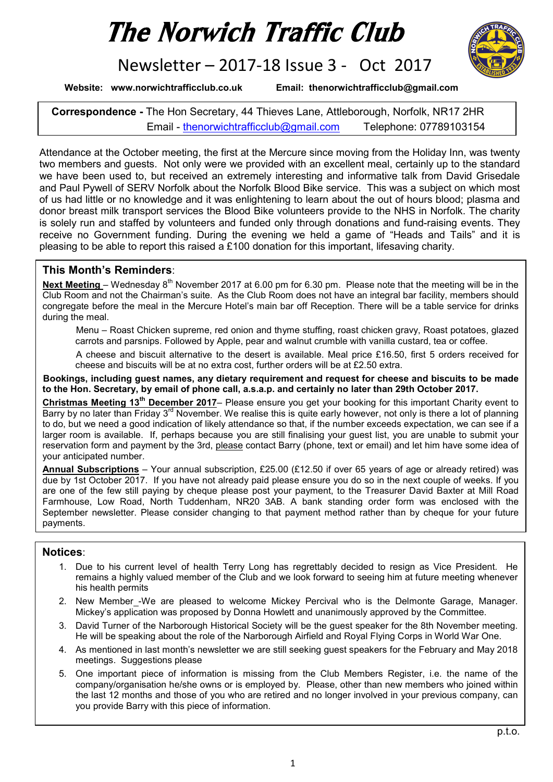# The Norwich Traffic Club

Newsletter – 2017-18 Issue 3 - Oct 2017

Website: www.norwichtrafficclub.co.uk Email: thenorwichtrafficclub@gmail.com

Correspondence - The Hon Secretary, 44 Thieves Lane, Attleborough, Norfolk, NR17 2HR Email - thenorwichtrafficclub@gmail.com Telephone: 07789103154

Attendance at the October meeting, the first at the Mercure since moving from the Holiday Inn, was twenty two members and guests. Not only were we provided with an excellent meal, certainly up to the standard we have been used to, but received an extremely interesting and informative talk from David Grisedale and Paul Pywell of SERV Norfolk about the Norfolk Blood Bike service. This was a subject on which most of us had little or no knowledge and it was enlightening to learn about the out of hours blood; plasma and donor breast milk transport services the Blood Bike volunteers provide to the NHS in Norfolk. The charity is solely run and staffed by volunteers and funded only through donations and fund-raising events. They receive no Government funding. During the evening we held a game of "Heads and Tails" and it is pleasing to be able to report this raised a £100 donation for this important, lifesaving charity.

# This Month's Reminders:

Next Meeting – Wednesday 8<sup>th</sup> November 2017 at 6.00 pm for 6.30 pm. Please note that the meeting will be in the Club Room and not the Chairman's suite. As the Club Room does not have an integral bar facility, members should congregate before the meal in the Mercure Hotel's main bar off Reception. There will be a table service for drinks during the meal.

Menu – Roast Chicken supreme, red onion and thyme stuffing, roast chicken gravy, Roast potatoes, glazed carrots and parsnips. Followed by Apple, pear and walnut crumble with vanilla custard, tea or coffee.

A cheese and biscuit alternative to the desert is available. Meal price £16.50, first 5 orders received for cheese and biscuits will be at no extra cost, further orders will be at £2.50 extra.

Bookings, including guest names, any dietary requirement and request for cheese and biscuits to be made to the Hon. Secretary, by email of phone call, a.s.a.p. and certainly no later than 29th October 2017.

Christmas Meeting 13<sup>th</sup> December 2017– Please ensure you get your booking for this important Charity event to Barry by no later than Friday 3<sup>rd</sup> November. We realise this is quite early however, not only is there a lot of planning to do, but we need a good indication of likely attendance so that, if the number exceeds expectation, we can see if a larger room is available. If, perhaps because you are still finalising your guest list, you are unable to submit your reservation form and payment by the 3rd, please contact Barry (phone, text or email) and let him have some idea of your anticipated number.

Annual Subscriptions - Your annual subscription, £25.00 (£12.50 if over 65 years of age or already retired) was due by 1st October 2017. If you have not already paid please ensure you do so in the next couple of weeks. If you are one of the few still paying by cheque please post your payment, to the Treasurer David Baxter at Mill Road Farmhouse, Low Road, North Tuddenham, NR20 3AB. A bank standing order form was enclosed with the September newsletter. Please consider changing to that payment method rather than by cheque for your future payments.

# Notices:

- 1. Due to his current level of health Terry Long has regrettably decided to resign as Vice President. He remains a highly valued member of the Club and we look forward to seeing him at future meeting whenever his health permits
- 2. New Member\_-We are pleased to welcome Mickey Percival who is the Delmonte Garage, Manager. Mickey's application was proposed by Donna Howlett and unanimously approved by the Committee.
- 3. David Turner of the Narborough Historical Society will be the guest speaker for the 8th November meeting. He will be speaking about the role of the Narborough Airfield and Royal Flying Corps in World War One.
- 4. As mentioned in last month's newsletter we are still seeking guest speakers for the February and May 2018 meetings. Suggestions please
- 5. One important piece of information is missing from the Club Members Register, i.e. the name of the company/organisation he/she owns or is employed by. Please, other than new members who joined within the last 12 months and those of you who are retired and no longer involved in your previous company, can you provide Barry with this piece of information.